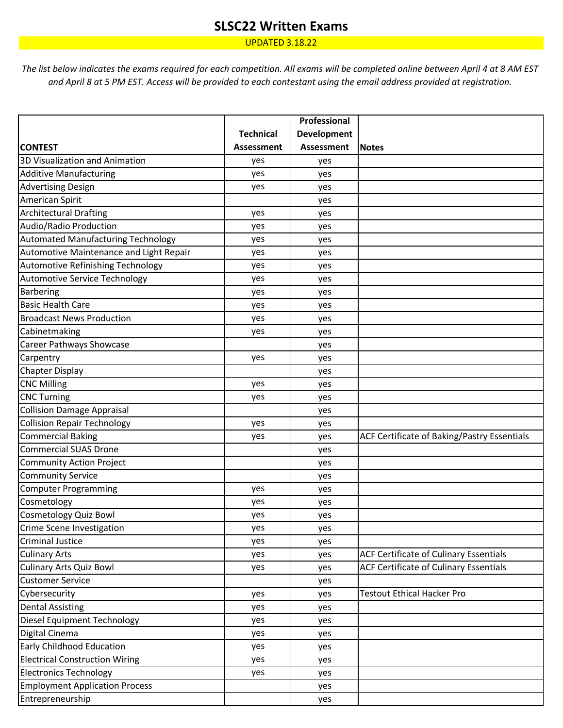## **SLSC22 Written Exams**

UPDATED 3.18.22

*The list below indicates the exams required for each competition. All exams will be completed online between April 4 at 8 AM EST and April 8 at 5 PM EST. Access will be provided to each contestant using the email address provided at registration.* 

|                                         |                   | Professional       |                                             |
|-----------------------------------------|-------------------|--------------------|---------------------------------------------|
|                                         | <b>Technical</b>  | <b>Development</b> |                                             |
| <b>CONTEST</b>                          | <b>Assessment</b> | Assessment         | <b>Notes</b>                                |
| 3D Visualization and Animation          | yes               | yes                |                                             |
| <b>Additive Manufacturing</b>           | yes               | yes                |                                             |
| <b>Advertising Design</b>               | yes               | yes                |                                             |
| American Spirit                         |                   | yes                |                                             |
| <b>Architectural Drafting</b>           | yes               | yes                |                                             |
| Audio/Radio Production                  | yes               | yes                |                                             |
| Automated Manufacturing Technology      | yes               | yes                |                                             |
| Automotive Maintenance and Light Repair | yes               | yes                |                                             |
| Automotive Refinishing Technology       | yes               | yes                |                                             |
| <b>Automotive Service Technology</b>    | yes               | yes                |                                             |
| Barbering                               | yes               | yes                |                                             |
| <b>Basic Health Care</b>                | yes               | yes                |                                             |
| <b>Broadcast News Production</b>        | yes               | yes                |                                             |
| Cabinetmaking                           | yes               | yes                |                                             |
| <b>Career Pathways Showcase</b>         |                   | yes                |                                             |
| Carpentry                               | yes               | yes                |                                             |
| Chapter Display                         |                   | yes                |                                             |
| <b>CNC Milling</b>                      | yes               | yes                |                                             |
| <b>CNC Turning</b>                      | yes               | yes                |                                             |
| <b>Collision Damage Appraisal</b>       |                   | yes                |                                             |
| <b>Collision Repair Technology</b>      | yes               | yes                |                                             |
| <b>Commercial Baking</b>                | yes               | yes                | ACF Certificate of Baking/Pastry Essentials |
| <b>Commercial SUAS Drone</b>            |                   | yes                |                                             |
| <b>Community Action Project</b>         |                   | yes                |                                             |
| <b>Community Service</b>                |                   | yes                |                                             |
| <b>Computer Programming</b>             | yes               | yes                |                                             |
| Cosmetology                             | yes               | yes                |                                             |
| Cosmetology Quiz Bowl                   | yes               | yes                |                                             |
| Crime Scene Investigation               | yes               | yes                |                                             |
| <b>Criminal Justice</b>                 | yes               | yes                |                                             |
| <b>Culinary Arts</b>                    | yes               | yes                | ACF Certificate of Culinary Essentials      |
| <b>Culinary Arts Quiz Bowl</b>          | yes               | yes                | ACF Certificate of Culinary Essentials      |
| <b>Customer Service</b>                 |                   | yes                |                                             |
| Cybersecurity                           | yes               | yes                | <b>Testout Ethical Hacker Pro</b>           |
| <b>Dental Assisting</b>                 | yes               | yes                |                                             |
| Diesel Equipment Technology             | yes               | yes                |                                             |
| Digital Cinema                          | yes               | yes                |                                             |
| <b>Early Childhood Education</b>        | yes               | yes                |                                             |
| <b>Electrical Construction Wiring</b>   | yes               | yes                |                                             |
| <b>Electronics Technology</b>           | yes               | yes                |                                             |
| <b>Employment Application Process</b>   |                   | yes                |                                             |
| Entrepreneurship                        |                   | yes                |                                             |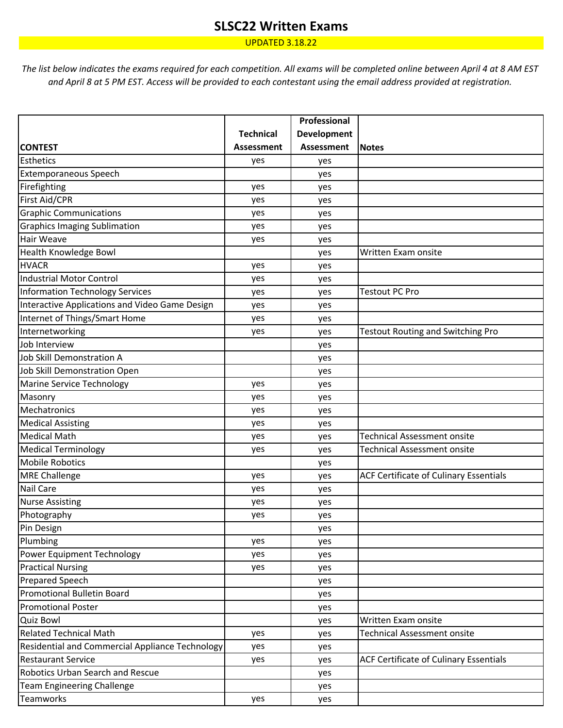## **SLSC22 Written Exams**

UPDATED 3.18.22

*The list below indicates the exams required for each competition. All exams will be completed online between April 4 at 8 AM EST and April 8 at 5 PM EST. Access will be provided to each contestant using the email address provided at registration.* 

|                                                        |                   | Professional |                                          |
|--------------------------------------------------------|-------------------|--------------|------------------------------------------|
|                                                        | <b>Technical</b>  | Development  |                                          |
| <b>CONTEST</b>                                         | <b>Assessment</b> | Assessment   | <b>Notes</b>                             |
| <b>Esthetics</b>                                       | yes               | yes          |                                          |
| <b>Extemporaneous Speech</b>                           |                   | yes          |                                          |
| Firefighting                                           | yes               | yes          |                                          |
| First Aid/CPR                                          | yes               | yes          |                                          |
| <b>Graphic Communications</b>                          | yes               | yes          |                                          |
| <b>Graphics Imaging Sublimation</b>                    | yes               | yes          |                                          |
| Hair Weave                                             | yes               | yes          |                                          |
| <b>Health Knowledge Bowl</b>                           |                   | yes          | Written Exam onsite                      |
| <b>HVACR</b>                                           | yes               | yes          |                                          |
| Industrial Motor Control                               | yes               | yes          |                                          |
| Information Technology Services                        | yes               | yes          | <b>Testout PC Pro</b>                    |
| Interactive Applications and Video Game Design         | yes               | yes          |                                          |
| Internet of Things/Smart Home                          | yes               | yes          |                                          |
| Internetworking                                        | yes               | yes          | <b>Testout Routing and Switching Pro</b> |
| Job Interview                                          |                   | yes          |                                          |
| Job Skill Demonstration A                              |                   | yes          |                                          |
| Job Skill Demonstration Open                           |                   | yes          |                                          |
| Marine Service Technology                              | yes               | yes          |                                          |
| Masonry                                                | yes               | yes          |                                          |
| Mechatronics                                           | yes               | yes          |                                          |
| <b>Medical Assisting</b>                               | yes               | yes          |                                          |
| Medical Math                                           | yes               | yes          | <b>Technical Assessment onsite</b>       |
| <b>Medical Terminology</b>                             | yes               | yes          | <b>Technical Assessment onsite</b>       |
| <b>Mobile Robotics</b>                                 |                   | yes          |                                          |
| <b>MRE Challenge</b>                                   | yes               | yes          | ACF Certificate of Culinary Essentials   |
| <b>Nail Care</b>                                       | yes               | yes          |                                          |
| <b>Nurse Assisting</b>                                 | yes               | yes          |                                          |
| Photography                                            | yes               | yes          |                                          |
| Pin Design                                             |                   | yes          |                                          |
| Plumbing                                               | yes               | yes          |                                          |
| Power Equipment Technology                             | yes               | yes          |                                          |
| <b>Practical Nursing</b>                               | yes               | yes          |                                          |
| <b>Prepared Speech</b>                                 |                   | yes          |                                          |
| Promotional Bulletin Board                             |                   | yes          |                                          |
| <b>Promotional Poster</b>                              |                   | yes          |                                          |
| <b>Quiz Bowl</b>                                       |                   | yes          | Written Exam onsite                      |
| <b>Related Technical Math</b>                          | yes               | yes          | <b>Technical Assessment onsite</b>       |
| <b>Residential and Commercial Appliance Technology</b> | yes               | yes          |                                          |
| <b>Restaurant Service</b>                              | yes               | yes          | ACF Certificate of Culinary Essentials   |
| Robotics Urban Search and Rescue                       |                   | yes          |                                          |
| <b>Team Engineering Challenge</b>                      |                   | yes          |                                          |
| Teamworks                                              | yes               | yes          |                                          |